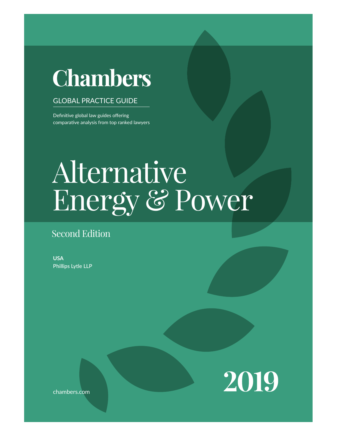# **Chambers**

# **GLOBAL PRACTICE GUIDE**

Definitive global law guides offering comparative analysis from top ranked lawyers

# $\Omega$  The  $\Omega$  $\mathcal{A}$ i in the legal system when conducting business in the jurisdic- $\overline{\text{u}}$ u $\overline{\text{v}}$ Energy & Power Alternative

# Second Edition

**USA** Phillips Lytle LLP



chambers.com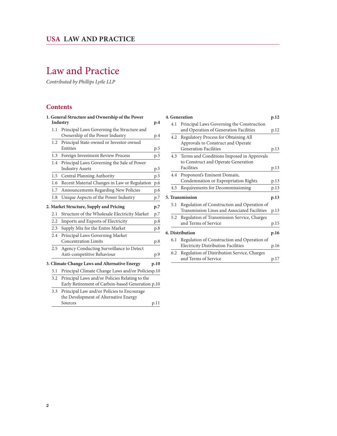# Law and Practice

*Contributed by Phillips Lytle LLP*

# **Contents**

|     | 1. General Structure and Ownership of the Power<br>Industry | p.4  |
|-----|-------------------------------------------------------------|------|
| 1.1 | Principal Laws Governing the Structure and                  |      |
|     | Ownership of the Power Industry                             | p.4  |
| 1.2 | Principal State-owned or Investor-owned                     |      |
|     | Entities                                                    | p.5  |
| 1.3 | Foreign Investment Review Process                           | p.5  |
| 1.4 | Principal Laws Governing the Sale of Power                  |      |
|     | <b>Industry Assets</b>                                      | p.5  |
| 1.5 | Central Planning Authority                                  | p.5  |
| 1.6 | Recent Material Changes in Law or Regulation                | p.6  |
| 1.7 | Announcements Regarding New Policies                        | p.6  |
| 1.8 | Unique Aspects of the Power Industry                        | p.7  |
|     | 2. Market Structure, Supply and Pricing                     | p.7  |
| 2.1 | Structure of the Wholesale Electricity Market               | p.7  |
| 2.2 | Imports and Exports of Electricity                          | p.8  |
| 2.3 | Supply Mix for the Entire Market                            | p.8  |
| 2.4 | Principal Laws Governing Market                             |      |
|     | <b>Concentration Limits</b>                                 | p.8  |
| 2.5 | Agency Conducting Surveillance to Detect                    |      |
|     | Anti-competitive Behaviour                                  | p.9  |
|     | 3. Climate Change Laws and Alternative Energy               | p.10 |
| 3.1 | Principal Climate Change Laws and/or Policiesp.10           |      |
| 3.2 | Principal Laws and/or Policies Relating to the              |      |
|     | Early Retirement of Carbon-based Generation p.10            |      |
| 3.3 | Principal Law and/or Policies to Encourage                  |      |
|     | the Development of Alternative Energy                       |      |
|     | Sources                                                     | p.11 |

| 4. Generation<br>p.12 |                        |                                               |      |
|-----------------------|------------------------|-----------------------------------------------|------|
|                       | 4.1                    | Principal Laws Governing the Construction     |      |
|                       |                        | and Operation of Generation Facilities        | p.12 |
|                       | 4.2                    | Regulatory Process for Obtaining All          |      |
|                       |                        | Approvals to Construct and Operate            |      |
|                       |                        | <b>Generation Facilities</b>                  | p.13 |
|                       |                        | 4.3 Terms and Conditions Imposed in Approvals |      |
|                       |                        | to Construct and Operate Generation           |      |
|                       |                        | Facilities                                    | p.13 |
|                       | 4.4                    | Proponent's Eminent Domain,                   |      |
|                       |                        | Condemnation or Expropriation Rights          | p.13 |
|                       | 4.5                    | Requirements for Decommissioning              | p.13 |
|                       |                        | 5. Transmission                               | p.13 |
|                       | 5.1                    | Regulation of Construction and Operation of   |      |
|                       |                        | Transmission Lines and Associated Facilities  | p.13 |
|                       | 5.2                    | Regulation of Transmission Service, Charges   |      |
|                       |                        | and Terms of Service                          | p.15 |
|                       | <b>6. Distribution</b> |                                               |      |
|                       | 6.1                    | Regulation of Construction and Operation of   |      |
|                       |                        | <b>Electricity Distribution Facilities</b>    | p.16 |
|                       | 6.2                    | Regulation of Distribution Service, Charges   |      |
|                       |                        | and Terms of Service                          | p.17 |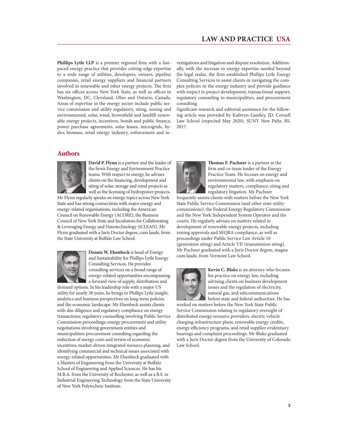**Phillips Lytle LLP** is a premier regional firm with a fastpaced energy practice that provides cutting-edge expertise to a wide range of utilities, developers, owners, pipeline companies, retail energy suppliers and financial partners involved in renewable and other energy projects. The firm has six offices across New York State, as well as offices in Washington, DC, Cleveland, Ohio and Ontario, Canada. Areas of expertise in the energy sector include public service commission and utility regulatory, siting, zoning and environmental, solar, wind, brownfield and landfill renewable energy projects, incentives, bonds and public finance, power purchase agreements, solar leases, microgrids, hydro, biomass, retail energy industry, enforcement and in-

### **Authors**



**David P. Flynn** is a partner and the leader of the firm's Energy and Environment Practice teams. With respect to energy, he advises clients on the financing, development and siting of solar, storage and wind projects as well as the licensing of hydropower projects.

Mr Flynn regularly speaks on energy topics across New York State and has strong connections with major energy and energy-related organisations, including the American Council on Renewable Energy (ACORE), the Business Council of New York State and Incubators for Collaborating & Leveraging Energy and Nanotechnology (iCLEAN). Mr Flynn graduated with a Juris Doctor degree, cum laude, from the State University at Buffalo Law School.



**Dennis W. Elsenbeck** is head of Energy and Sustainability for Phillips Lytle Energy Consulting Services. He provides consulting services on a broad range of energy-related opportunities encompassing a forward view of supply, distribution and

demand options. In his leadership role with a major US utility for nearly 30 years, he brings to Phillips Lytle insight, analytics and business perspectives on long-term policies and the economic landscape. Mr Elsenbeck assists clients with due diligence and regulatory compliance on energy transactions; regulatory counselling involving Public Service Commission proceedings; energy procurement and utility negotiations involving government entities and municipalities; procurement consulting regarding the reduction of energy costs and review of economic incentives; market-driven integrated resource planning, and identifying commercial and technical issues associated with energy-related opportunities. Mr Elsenbeck graduated with a Masters of Engineering from the University at Buffalo School of Engineering and Applied Sciences. He has his M.B.A. from the University of Rochester, as well as a B.S. in Industrial Engineering Technology from the State University of New York Polytechnic Institute.

vestigations and litigation and dispute resolution. Additionally, with the increase in energy expertise needed beyond the legal realm, the firm established Phillips Lytle Energy Consulting Services to assist clients in navigating the complex policies in the energy industry and provide guidance with respect to project development, transactional support, regulatory counseling to municipalities, and procurement consulting.

Significant research and editorial assistance for the following article was provided by Kathryn Gantley, JD, Cornell Law School (expected May 2020). SUNY New Paltz, BS, 2017.



**Thomas F. Puchner** is a partner at the firm and co-team leader of the Energy Practice Team. He focuses on energy and environmental law, with emphasis on regulatory matters, compliance, siting and regulatory litigation. Mr Puchner

frequently assists clients with matters before the New York State Public Service Commission (and other state utility commissions), the Federal Energy Regulatory Commission and the New York Independent System Operator and the courts. He regularly advises on matters related to development of renewable energy projects, including zoning approvals and SEQRA compliance, as well as proceedings under Public Service Law Article 10 (generation siting) and Article VII (transmission siting). Mr Puchner graduated with a Juris Doctor degree, magna cum laude, from Vermont Law School.



**Kevin C. Blake** is an attorney who focuses his practice on energy law, including advising clients on business development issues and the regulation of electricity, natural gas, and telecommunications before state and federal authorities. He has

worked on matters before the New York State Public Service Commission relating to regulatory oversight of distributed energy resource providers, electric vehicle charging infrastructure plans, renewable energy credits, energy efficiency programs, and retail supplier evidentiary hearings and complaint proceedings. Mr Blake graduated with a Juris Doctor degree from the University of Colorado Law School.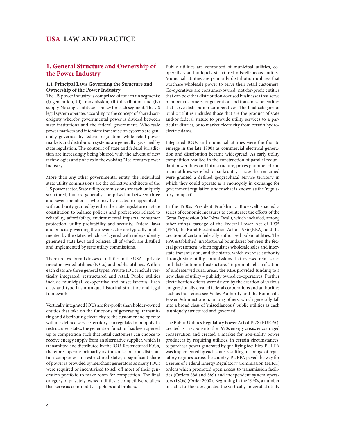# **1. General Structure and Ownership of the Power Industry**

#### **1.1 Principal Laws Governing the Structure and Ownership of the Power Industry**

The US power industry is comprised of four main segments: (i) generation, (ii) transmission, (iii) distribution and (iv) supply. No single entity sets policy for each segment. The US legal system operates according to the concept of shared sovereignty whereby governmental power is divided between state institutions and the federal government. Wholesale power markets and interstate transmission systems are generally governed by federal regulation, while retail power markets and distribution systems are generally governed by state regulation. The contours of state and federal jurisdiction are increasingly being blurred with the advent of new technologies and policies in the evolving 21st-century power industry.

More than any other governmental entity, the individual state utility commissions are the collective architects of the US power sector. State utility commissions are each uniquely structured, but are generally comprised of between three and seven members – who may be elected or appointed – with authority granted by either the state legislature or state constitution to balance policies and preferences related to reliability, affordability, environmental impacts, consumer protection, utility profitability and security. Federal laws and policies governing the power sector are typically implemented by the states, which are layered with independently generated state laws and policies, all of which are distilled and implemented by state utility commissions.

There are two broad classes of utilities in the USA – private investor-owned utilities (IOUs) and public utilities. Within each class are three general types. Private IOUs include vertically integrated, restructured and retail. Public utilities include municipal, co-operative and miscellaneous. Each class and type has a unique historical structure and legal framework.

Vertically integrated IOUs are for-profit shareholder-owned entities that take on the functions of generating, transmitting and distributing electricity to the customer and operate within a defined service territory as a regulated monopoly. In restructured states, the generation function has been opened up to competition such that retail customers can choose to receive energy supply from an alternative supplier, which is transmitted and distributed by the IOU. Restructured IOUs, therefore, operate primarily as transmission and distribution companies. In restructured states, a significant share of power is provided by merchant generators as many IOUs were required or incentivised to sell off most of their generation portfolio to make room for competition. The final category of privately owned utilities is competitive retailers that serve as commodity suppliers and brokers.

Public utilities are comprised of municipal utilities, cooperatives and uniquely structured miscellaneous entities. Municipal utilities are primarily distribution utilities that purchase wholesale power to serve their retail customers. Co-operatives are consumer-owned, not-for-profit entities that can be either distribution-focused businesses that serve member customers, or generation and transmission entities that serve distribution co-operatives. The final category of public utilities includes those that are the product of state and/or federal statute to provide utility services to a particular district, or to market electricity from certain hydroelectric dams.

Integrated IOUs and municipal utilities were the first to emerge in the late 1800s as commercial electrical generation and distribution became widespread. As early utility competition resulted in the construction of parallel redundant power lines and infrastructure, prices plummeted and many utilities were led to bankruptcy. Those that remained were granted a defined geographical service territory in which they could operate as a monopoly in exchange for government regulation under what is known as the 'regulatory compact'.

In the 1930s, President Franklin D. Roosevelt enacted a series of economic measures to counteract the effects of the Great Depression (the 'New Deal'), which included, among other things, passage of the Federal Power Act of 1935 (FPA), the Rural Electrification Act of 1936 (REA), and the creation of certain federally authorised public utilities. The FPA established jurisdictional boundaries between the federal government, which regulates wholesale sales and interstate transmission, and the states, which exercise authority through state utility commissions that oversee retail sales and distribution infrastructure. To promote electrification of underserved rural areas, the REA provided funding to a new class of utility – publicly owned co-operatives. Further electrification efforts were driven by the creation of various congressionally created federal corporations and authorities such as the Tennessee Valley Authority and the Bonneville Power Administration, among others, which generally fall into a broad class of 'miscellaneous' public utilities as each is uniquely structured and governed.

The Public Utilities Regulatory Power Act of 1978 (PURPA), created as a response to the 1970s energy crisis, encouraged conservation and created a market for non-utility power producers by requiring utilities, in certain circumstances, to purchase power generated by qualifying facilities. PURPA was implemented by each state, resulting in a range of regulatory regimes across the country. PURPA paved the way for a series of Federal Energy Regulatory Commission (FERC) orders which promoted open access to transmission facilities (Orders 888 and 889) and independent system operators (ISOs) (Order 2000). Beginning in the 1990s, a number of states further deregulated the vertically-integrated utility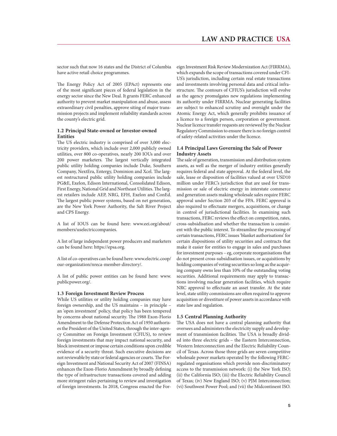sector such that now 16 states and the District of Columbia have active retail choice programmes.

The Energy Policy Act of 2005 (EPAct) represents one of the most significant pieces of federal legislation in the energy sector since the New Deal. It grants FERC enhanced authority to prevent market manipulation and abuse, assess extraordinary civil penalties, approve siting of major transmission projects and implement reliability standards across the county's electric grid.

#### **1.2 Principal State-owned or Investor-owned Entities**

The US electric industry is comprised of over 3,000 electricity providers, which include over 2,000 publicly owned utilities, over 800 co-operatives, nearly 200 IOUs and over 200 power marketers. The largest vertically integrated public utility holding companies include Duke, Southern Company, NextEra, Entergy, Dominion and Xcel. The largest restructured public utility holding companies include PG&E, Exelon, Edison International, Consolidated Edison, First Energy, National Grid and Northeast Utilities. The largest retailers include AEP, NRG, EFH, Exelon and ConEd. The largest public power systems, based on net generation, are the New York Power Authority, the Salt River Project and CPS Energy.

A list of IOUS can be found here: www.eei.org/about/ members/uselectriccompanies.

A list of large independent power producers and marketers can be found here: https://epsa.org.

A list of co-operatives can be found here: www.electric.coop/ our-organization/nreca-member-directory/.

A list of public power entities can be found here: www. publicpower.org/.

#### **1.3 Foreign Investment Review Process**

While US utilities or utility holding companies may have foreign ownership, and the US maintains – in principle – an 'open investment' policy, that policy has been tempered by concerns about national security. The 1988 Exon-Florio Amendment to the Defense Protection Act of 1950 authorises the President of the United States, through the inter-agency Committee on Foreign Investment (CFIUS), to review foreign investments that may impact national security, and block investment or impose certain conditions upon credible evidence of a security threat. Such executive decisions are not reviewable by state or federal agencies or courts. The Foreign Investment and National Security Act of 2007 (FINSA) enhances the Exon-Florio Amendment by broadly defining the type of infrastructure transactions covered and adding more stringent rules pertaining to review and investigation of foreign investments. In 2018, Congress enacted the Foreign Investment Risk Review Modernization Act (FIRRMA), which expands the scope of transactions covered under CFI-US's jurisdiction, including certain real estate transactions and investments involving personal data and critical infrastructure. The contours of CFIUS's jurisdiction will evolve as the agency promulgates new regulations implementing its authority under FIRRMA. Nuclear generating facilities are subject to enhanced scrutiny and oversight under the Atomic Energy Act, which generally prohibits issuance of a licence to a foreign person, corporation or government. Nuclear licence transfer requests are reviewed by the Nuclear Regulatory Commission to ensure there is no foreign control of safety-related activities under the licence.

#### **1.4 Principal Laws Governing the Sale of Power Industry Assets**

The sale of generation, transmission and distribution system assets, as well as the merger of industry entities generally requires federal and state approval. At the federal level, the sale, lease or disposition of facilities valued at over USD10 million under FERC's jurisdiction that are used for transmission or sale of electric energy in interstate commerce and generation assets making wholesale sales require FERC approval under Section 203 of the FPA. FERC approval is also required to effectuate mergers, acquisitions, or change in control of jurisdictional facilities. In examining such transactions, FERC reviews the effect on competition, rates, cross-subsidisation and whether the transaction is consistent with the public interest. To streamline the processing of certain transactions, FERC issues 'blanket authorisations' for certain dispositions of utility securities and contracts that make it easier for entities to engage in sales and purchases for investment purposes – eg, corporate reorganisations that do not present cross-subsidisation issues, or acquisitions by holding companies of voting securities so long as the acquiring company owns less than 10% of the outstanding voting securities. Additional requirements may apply to transactions involving nuclear generation facilities, which require NRC approval to effectuate an asset transfer. At the state level, state utility commissions are often required to approve acquisition or divestiture of power assets in accordance with state law and regulation.

#### **1.5 Central Planning Authority**

The USA does not have a central planning authority that oversees and administers the electricity supply and development of transmission facilities. The USA is broadly divided into three electric grids – the Eastern Interconnection, Western Interconnection and the Electric Reliability Council of Texas. Across those three grids are seven competitive wholesale power markets operated by the following FERCregulated organisations which provide non-discriminatory access to the transmission network: (i) the New York ISO; (ii) the California ISO; (iii) the Electric Reliability Council of Texas; (iv) New England ISO; (v) PJM Interconnection; (vi) Southwest Power Pool; and (vii) the Midcontinent ISO.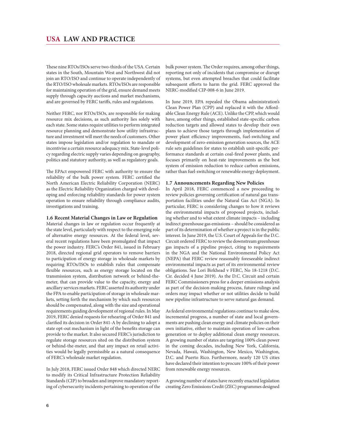These nine RTOs/ISOs serve two-thirds of the USA. Certain states in the South, Mountain West and Northwest did not join an RTO/ISO and continue to operate independently of the RTO/ISO wholesale markets. RTOs/ISOs are responsible for maintaining operation of the grid, ensure demand meets supply through capacity auctions and market mechanisms, and are governed by FERC tariffs, rules and regulations.

Neither FERC, nor RTOs/ISOs, are responsible for making resource mix decisions, as such authority lies solely with each state. Some states require utilities to perform integrated resource planning and demonstrate how utility infrastructure and investment will meet the needs of customers. Other states impose legislation and/or regulation to mandate or incentivise a certain resource adequacy mix. State-level policy regarding electric supply varies depending on geography, politics and statutory authority, as well as regulatory goals.

The EPAct empowered FERC with authority to ensure the reliability of the bulk power system. FERC certified the North American Electric Reliability Corporation (NERC) as the Electric Reliability Organization charged with developing and enforcing reliability standards for power system operation to ensure reliability through compliance audits, investigations and training.

#### **1.6 Recent Material Changes in Law or Regulation**

Material changes in law or regulation occur frequently at the state level, particularly with respect to the emerging role of alternative energy resources. At the federal level, several recent regulations have been promulgated that impact the power industry. FERC's Order 841, issued in February 2018, directed regional grid operators to remove barriers to participation of energy storage in wholesale markets by requiring RTOs/ISOs to establish rules that compensate flexible resources, such as energy storage located on the transmission system, distribution network or behind-themeter, that can provide value to the capacity, energy and ancillary services markets. FERC asserted its authority under the FPA to enable participation of storage in wholesale markets, setting forth the mechanism by which such resources should be compensated, along with the size and operational requirements guiding development of regional rules. In May 2019, FERC denied requests for rehearing of Order 841 and clarified its decision in Order 841-A by declining to adopt a state opt-out mechanism in light of the benefits storage can provide to the market. It also secured FERC's jurisdiction to regulate storage resources sited on the distribution system or behind-the-meter, and that any impact on retail activities would be legally permissible as a natural consequence of FERC's wholesale market regulation.

In July 2018, FERC issued Order 848 which directed NERC to modify its Critical Infrastructure Protection Reliability Standards (CIP) to broaden and improve mandatory reporting of cybersecurity incidents pertaining to operation of the bulk power system. The Order requires, among other things, reporting not only of incidents that compromise or disrupt systems, but even attempted breaches that could facilitate subsequent efforts to harm the grid. FERC approved the NERC-modified CIP-008-6 in June 2019.

In June 2019, EPA repealed the Obama administration's Clean Power Plan (CPP) and replaced it with the Affordable Clean Energy Rule (ACE). Unlike the CPP, which would have, among other things, established state-specific carbon reduction targets and allowed states to develop their own plans to achieve those targets through implementation of power plant efficiency improvements, fuel-switching and development of zero-emission generation sources, the ACE rule sets guidelines for states to establish unit-specific performance standards at certain coal-fired power plants, and focuses primarily on heat-rate improvements as the best system of emission reduction to reduce carbon emissions, rather than fuel-switching or renewable energy deployment.

#### **1.7 Announcements Regarding New Policies**

In April 2018, FERC commenced a new proceeding to review policies governing certification of natural gas transportation facilities under the Natural Gas Act (NGA). In particular, FERC is considering changes to how it reviews the environmental impacts of proposed projects, including whether and to what extent climate impacts – including indirect greenhouse gas emissions – should be considered as part of its determination of whether a project is in the public interest. In June 2019, the U.S. Court of Appeals for the D.C. Circuit ordered FERC to review the downstream greenhouse gas impacts of a pipeline project, citing to requirements in the NGA and the National Environmental Policy Act (NEPA) that FERC review reasonably foreseeable indirect environmental impacts as part of its environmental review obligations. See Lori Birkhead v FERC, No 18-1218 (D.C. Cir. decided 4 June 2019). As the D.C. Circuit and certain FERC Commissioners press for a deeper emissions analysis as part of the decision-making process, future rulings and orders may impact whether or not utilities decide to build new pipeline infrastructure to serve natural gas demand.

As federal environmental regulations continue to make slow, incremental progress, a number of state and local governments are pushing clean energy and climate policies on their own initiative, either to maintain operation of low-carbon generation or to deploy additional clean energy resources. A growing number of states are targeting 100% clean power in the coming decades, including New York, California, Nevada, Hawaii, Washington, New Mexico, Washington, D.C. and Puerto Rico. Furthermore, nearly 120 US cities have declared their intention to procure 100% of their power from renewable energy resources.

A growing number of states have recently enacted legislation creating Zero Emissions Credit (ZEC) programmes designed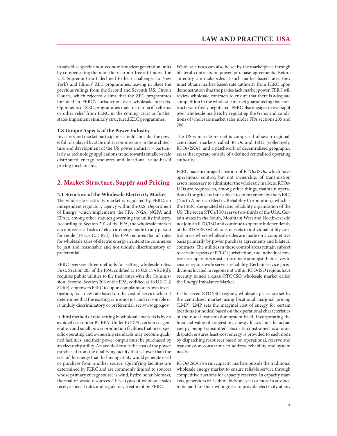to subsidise specific non-economic nuclear generation units by compensating them for their carbon-free attributes. The U.S. Supreme Court declined to hear challenges to New York's and Illinois' ZEC programmes, leaving in place the previous rulings from the Second and Seventh U.S. Circuit Courts, which rejected claims that the ZEC programmes intruded in FERC's jurisdiction over wholesale markets. Opponents of ZEC programmes may turn to tariff reforms or other relief from FERC in the coming years as further states implement similarly structured ZEC programmes.

#### **1.8 Unique Aspects of the Power Industry**

Investors and market participants should consider the powerful role played by state utility commissions in the architecture and development of the US power industry – particularly as technology applications trend towards smaller-scale distributed energy resources and locational value-based pricing mechanisms.

## **2. Market Structure, Supply and Pricing**

#### **2.1 Structure of the Wholesale Electricity Market**

The wholesale electricity market is regulated by FERC, an independent regulatory agency within the U.S. Department of Energy, which implements the FPA, NGA, NGPA and EPAct, among other statutes governing the utility industry. According to Section 201 of the FPA, the wholesale market encompasses all sales of electric energy made to any person for resale (16 U.S.C. § 824). The FPA requires that all rates for wholesale sales of electric energy in interstate commerce be just and reasonable and not unduly discriminatory or preferential.

FERC oversees three methods for setting wholesale rates. First, Section 205 of the FPA, codified at 16 U.S.C. § 824(d), requires public utilities to file their rates with the Commission. Second, Section 206 of the FPA, codified at 16 U.S.C. § 824(e), empowers FERC to, upon complaint or its own investigation, fix a new rate based on the cost of service when it determines that the existing rate is not just and reasonable or is unduly discriminatory or preferential; see www.gpo.gov.

A third method of rate-setting in wholesale markets is by an avoided cost under PURPA. Under PURPA, certain co-generation and small power production facilities that meet specific operating and ownership standards may become qualified facilities, and their power output must be purchased by an electricity utility. An avoided cost is the cost of the power purchased from the qualifying facility that is lower than the cost of the energy that the buying utility would generate itself or purchase from another source. Qualifying facilities are determined by FERC and are commonly limited to sources whose primary energy source is wind, hydro, solar, biomass, thermal or waste resources. These types of wholesale sales receive special rates and regulatory treatment by FERC.

Wholesale rates can also be set by the marketplace through bilateral contracts or power purchase agreements. Before an entity can make sales at such market-based rates, they must obtain market-based rate authority from FERC upon demonstration that the parties lack market power. FERC will review wholesale contracts to ensure that there is adequate competition in the wholesale market guaranteeing that contracts were freely negotiated. FERC also engages in oversight over wholesale markets by regulating the terms and conditions of wholesale market sales under FPA sections 205 and 206.

The US wholesale market is comprised of seven regional, centralised markets called RTOs and ISOs (collectively, RTOs/ISOs), and a patchwork of decentralised geographic areas that operate outside of a defined centralised operating authority.

FERC has encouraged creation of RTOs/ISOs, which have operational control, but not ownership, of transmission assets necessary to administer the wholesale markets. RTOs/ ISOs are required to, among other things, maintain operation of the grid, and are subject to enforcement by the NERC (North American Electric Reliability Corporation), which is the FERC-designated electric reliability organisation of the US. The seven RTOs/ISOs serve two-thirds of the USA. Certain states in the South, Mountain West and Northwest did not join an RTO/ISO and continue to operate independently of the RTO/ISO wholesale markets in individual utility control areas where wholesale sales are made on a competitive basis primarily by power purchase agreements and bilateral contracts. The utilities in these control areas remain subject to certain aspects of FERC's jurisdiction, and individual control area operators must co-ordinate amongst themselves to ensure region-wide service reliability. Certain service jurisdictions located in regions not within RTO/ISO regions have recently joined a quasi-RTO/ISO wholesale market called the Energy Imbalance Market.

In the seven RTO/ISO regions, wholesale prices are set by the centralised market using locational marginal pricing (LMP). LMP sets the marginal cost of energy for certain locations (or nodes) based on the operational characteristics of the nodal transmission system itself, incorporating the financial value of congestion, energy losses and the actual energy being transmitted. Security-constrained economic dispatch ensures least-cost energy is provided to each node by dispatching resources based on operational, reserve and transmission constraints to address reliability and system needs.

RTOs/ISOs also run capacity markets outside the traditional wholesale energy market to ensure reliable service through competitive auctions for capacity reserves. In capacity markets, generators will submit bids one year or more in advance to be paid for their willingness to provide electricity at any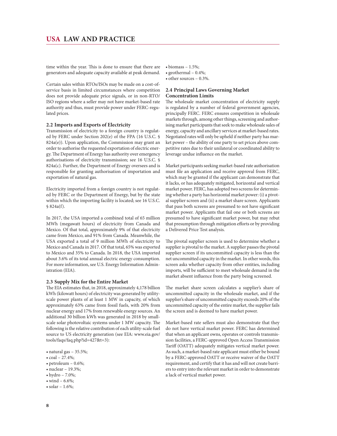time within the year. This is done to ensure that there are generators and adequate capacity available at peak demand.

Certain sales within RTOs/ISOs may be made on a cost-ofservice basis in limited circumstances where competition does not provide adequate price signals, or in non-RTO/ ISO regions where a seller may not have market-based rate authority and thus, must provide power under FERC-regulated prices.

#### **2.2 Imports and Exports of Electricity**

Transmission of electricity to a foreign country is regulated by FERC under Section 202(e) of the FPA (16 U.S.C. § 824a(e)). Upon application, the Commission may grant an order to authorise the requested exportation of electric energy. The Department of Energy has authority over emergency authorisations of electricity transmission; see 16 U.S.C. §  $824a(c)$ . Further, the Department of Energy oversees and is responsible for granting authorisation of importation and exportation of natural gas.

Electricity imported from a foreign country is not regulated by FERC or the Department of Energy, but by the state within which the importing facility is located; see 16 U.S.C. § 824a(f).

In 2017, the USA imported a combined total of 65 million MWh (megawatt hours) of electricity from Canada and Mexico. Of that total, approximately 9% of that electricity came from Mexico, and 91% from Canada. Meanwhile, the USA exported a total of 9 million MWh of electricity to Mexico and Canada in 2017. Of that total, 65% was exported to Mexico and 35% to Canada. In 2018, the USA imported about 3.6% of its total annual electric energy consumption. For more information, see U.S. Energy Information Administration (EIA).

#### **2.3 Supply Mix for the Entire Market**

The EIA estimates that, in 2018, approximately 4,178 billion kWh (kilowatt hours) of electricity was generated by utilityscale power plants of at least 1 MW in capacity, of which approximately 63% came from fossil fuels, with 20% from nuclear energy and 17% from renewable energy sources. An additional 30 billion kWh was generated in 2018 by smallscale solar photovoltaic systems under 1 MW capacity. The following is the relative contribution of each utility-scale fuel source to US electricity generation (see EIA: www.eia.gov/ tools/faqs/faq.php?id=427&t=3):

- $\bullet$  natural gas 35.5%;
- $\bullet$  coal 27.4%;
- $\bullet$  petroleum 0.6%;
- $\bullet$  nuclear 19.3%;
- $\bullet$  hydro 7.0%;
- $\bullet$  wind 6.6%;
- solar  $1.6\%$ ;
- $\bullet$  biomass 1.5%;
- $\bullet$  geothermal 0.4%;  $\bullet$  other sources - 0.3%.
- 

#### **2.4 Principal Laws Governing Market Concentration Limits**

The wholesale market concentration of electricity supply is regulated by a number of federal government agencies, principally FERC. FERC ensures competition in wholesale markets through, among other things, screening and authorising market participants that seek to make wholesale sales of energy, capacity and ancillary services at market-based rates. Negotiated rates will only be upheld if neither party has market power – the ability of one party to set prices above competitive rates due to their unilateral or coordinated ability to leverage undue influence on the market.

Market participants seeking market-based rate authorisation must file an application and receive approval from FERC, which may be granted if the applicant can demonstrate that it lacks, or has adequately mitigated, horizontal and vertical market power. FERC, has adopted two screens for determining whether a party has horizontal market power: (i) a pivotal supplier screen and (ii) a market share screen. Applicants that pass both screens are presumed to not have significant market power. Applicants that fail one or both screens are presumed to have significant market power, but may rebut that presumption through mitigation efforts or by providing a Delivered Price Test analysis.

The pivotal supplier screen is used to determine whether a supplier is pivotal to the market. A supplier passes the pivotal supplier screen if its uncommitted capacity is less than the net uncommitted capacity in the market. In other words, this screen asks whether capacity from other entities, including imports, will be sufficient to meet wholesale demand in the market absent influence from the party being screened.

The market share screen calculates a supplier's share of uncommitted capacity in the wholesale market, and if the supplier's share of uncommitted capacity exceeds 20% of the uncommitted capacity of the entire market, the supplier fails the screen and is deemed to have market power.

Market-based rate sellers must also demonstrate that they do not have vertical market power. FERC has determined that when an applicant owns, operates or controls transmission facilities, a FERC-approved Open Access Transmission Tariff (OATT) adequately mitigates vertical market power. As such, a market-based rate applicant must either be bound by a FERC-approved OATT or receive waiver of the OATT requirement, and certify that it has and will not create barriers to entry into the relevant market in order to demonstrate a lack of vertical market power.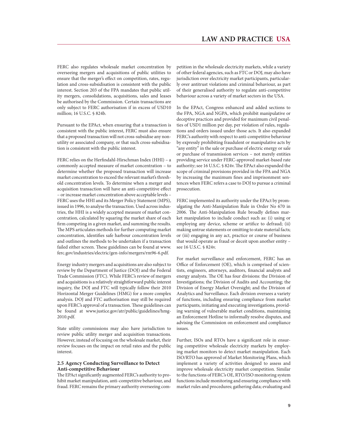FERC also regulates wholesale market concentration by overseeing mergers and acquisitions of public utilities to ensure that the merger's effect on competition, rates, regulation and cross-subsidisation is consistent with the public interest. Section 203 of the FPA mandates that public utility mergers, consolidations, acquisitions, sales and leases be authorised by the Commission. Certain transactions are only subject to FERC authorisation if in excess of USD10 million; 16 U.S.C. § 824b.

Pursuant to the EPAct, when ensuring that a transaction is consistent with the public interest, FERC must also ensure that a proposed transaction will not cross-subsidise any nonutility or associated company, or that such cross-subsidisation is consistent with the public interest.

FERC relies on the Herfindahl-Hirschman Index (HHI) – a commonly accepted measure of market concentration – to determine whether the proposed transaction will increase market concentration to exceed the relevant market's threshold concentration levels. To determine when a merger and acquisition transaction will have an anti-competitive effect – or increase market concentration above acceptable levels – FERC uses the HHI and its Merger Policy Statement (MPS), issued in 1996, to analyse the transaction. Used across industries, the HHI is a widely accepted measure of market concentration, calculated by squaring the market share of each firm competing in a given market, and summing the results. The MPS articulates methods for further computing market concentration, identifies safe harbour concentration levels and outlines the methods to be undertaken if a transaction failed either screen. These guidelines can be found at www. ferc.gov/industries/electric/gen-info/mergers/rm96-6.pdf.

Energy industry mergers and acquisitions are also subject to review by the Department of Justice (DOJ) and the Federal Trade Commission (FTC). While FERC's review of mergers and acquisitions is a relatively straightforward public interest inquiry, the DOJ and FTC will typically follow their 2010 Horizontal Merger Guidelines (HMG) for a more complex analysis. DOJ and FTC authorisation may still be required upon FERC's approval of a transaction. These guidelines can be found at www.justice.gov/atr/public/guidelines/hmg-2010.pdf.

State utility commissions may also have jurisdiction to review public utility merger and acquisition transactions. However, instead of focusing on the wholesale market, their review focuses on the impact on retail rates and the public interest.

#### **2.5 Agency Conducting Surveillance to Detect Anti-competitive Behaviour**

The EPAct significantly augmented FERC's authority to prohibit market manipulation, anti-competitive behaviour, and fraud. FERC remains the primary authority overseeing competition in the wholesale electricity markets, while a variety of other federal agencies, such as FTC or DOJ, may also have jurisdiction over electricity market participants, particularly over antitrust violations and criminal behaviour, as part of their generalised authority to regulate anti-competitive behaviour across a variety of market sectors in the USA.

In the EPAct, Congress enhanced and added sections to the FPA, NGA and NGPA, which prohibit manipulative or deceptive practices and provided for maximum civil penalties of USD1 million per day, per violation of rules, regulations and orders issued under those acts. It also expanded FERC's authority with respect to anti-competitive behaviour by expressly prohibiting fraudulent or manipulative acts by "any entity" in the sale or purchase of electric energy or sale or purchase of transmission services – not merely entities providing service under FERC-approved market-based rate authority; see 16 U.S.C. § 824v. The EPAct also expanded the scope of criminal provisions provided in the FPA and NGA by increasing the maximum fines and imprisonment sentences when FERC refers a case to DOJ to pursue a criminal prosecution.

FERC implemented its authority under the EPAct by promulgating the Anti-Manipulation Rule in Order No 670 in 2006. The Anti-Manipulation Rule broadly defines market manipulation to include conduct such as: (i) using or employing any device, scheme or artifice to defraud; (ii) making untrue statements or omitting to state material facts; or (iii) engaging in any act, practice or course of business that would operate as fraud or deceit upon another entity – see 16 U.S.C. § 824v.

For market surveillance and enforcement, FERC has an Office of Enforcement (OE), which is comprised of scientists, engineers, attorneys, auditors, financial analysts and energy analysts. The OE has four divisions: the Division of Investigations; the Division of Audits and Accounting; the Division of Energy Market Oversight; and the Division of Analytics and Surveillance. Each division oversees a variety of functions, including ensuring compliance from market participants, initiating and executing investigations, providing warning of vulnerable market conditions, maintaining an Enforcement Hotline to informally resolve disputes, and advising the Commission on enforcement and compliance issues.

Further, ISOs and RTOs have a significant role in ensuring competitive wholesale electricity markets by employing market monitors to detect market manipulation. Each ISO/RTO has approved of Market Monitoring Plans, which implement a variety of activities designed to assess and improve wholesale electricity market competition. Similar to the functions of FERC's OE, RTO/ISO monitoring system functions include monitoring and ensuring compliance with market rules and procedures; gathering data; evaluating and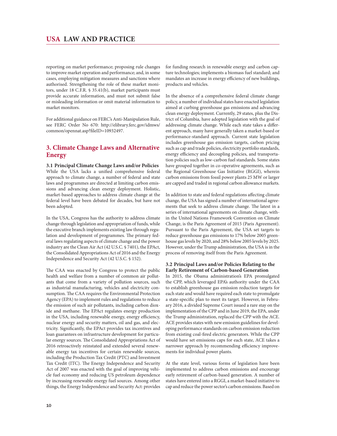reporting on market performance; proposing rule changes to improve market operation and performance; and, in some cases, employing mitigation measures and sanctions where authorised. Strengthening the role of these market monitors, under 18 C.F.R. § 35.41(b), market participants must provide accurate information, and must not submit false or misleading information or omit material information to market monitors.

For additional guidance on FERC's Anti-Manipulation Rule, see FERC Order No 670: http://elibrary.ferc.gov/idmws/ common/opennat.asp?fileID=10932497.

# **3. Climate Change Laws and Alternative Energy**

**3.1 Principal Climate Change Laws and/or Policies** While the USA lacks a unified comprehensive federal approach to climate change, a number of federal and state laws and programmes are directed at limiting carbon emissions and advancing clean energy deployment. Holistic, market-based approaches to address climate change at the federal level have been debated for decades, but have not been adopted.

In the USA, Congress has the authority to address climate change through legislation and appropriation of funds, while the executive branch implements existing law through regulation and development of programmes. The primary federal laws regulating aspects of climate change and the power industry are the Clean Air Act (42 U.S.C. § 7401), the EPAct, the Consolidated Appropriations Act of 2016 and the Energy Independence and Security Act (42 U.S.C. § 152).

The CAA was enacted by Congress to protect the public health and welfare from a number of common air pollutants that come from a variety of pollution sources, such as industrial manufacturing, vehicles and electricity consumption. The CAA requires the Environmental Protection Agency (EPA) to implement rules and regulations to reduce the emission of such air pollutants, including carbon dioxide and methane. The EPAct regulates energy production in the USA, including renewable energy, energy efficiency, nuclear energy and security matters, oil and gas, and electricity. Significantly, the EPAct provides tax incentives and loan guarantees on infrastructure development for particular energy sources. The Consolidated Appropriations Act of 2016 retroactively reinstated and extended several renewable energy tax incentives for certain renewable sources, including the Production Tax Credit (PTC) and Investment Tax Credit (ITC). The Energy Independence and Security Act of 2007 was enacted with the goal of improving vehicle fuel economy and reducing US petroleum dependence by increasing renewable energy fuel sources. Among other things, the Energy Independence and Security Act: provides for funding research in renewable energy and carbon capture technologies; implements a biomass fuel standard; and mandates an increase in energy efficiency of new buildings, products and vehicles.

In the absence of a comprehensive federal climate change policy, a number of individual states have enacted legislation aimed at curbing greenhouse gas emissions and advancing clean energy deployment. Currently, 29 states, plus the District of Columbia, have adopted legislation with the goal of addressing climate change. While each state takes a different approach, many have generally taken a market-based or performance-standard approach. Current state legislation includes greenhouse gas emission targets, carbon pricing such as cap and trade policies, electricity portfolio standards, energy efficiency and decoupling policies, and transportation policies such as low-carbon fuel standards. Some states have grouped together in co-operative agreements, such as the Regional Greenhouse Gas Initiative (RGGI), wherein carbon emissions from fossil power plants 25 MW or larger are capped and traded in regional carbon allowance markets.

In addition to state and federal regulations affecting climate change, the USA has signed a number of international agreements that seek to address climate change. The latest in a series of international agreements on climate change, within the United Nations Framework Convention on Climate Change, is the Paris Agreement of 2015 (Paris Agreement). Pursuant to the Paris Agreement, the USA set targets to reduce greenhouse gas emissions to 17% below 2005 greenhouse gas levels by 2020, and 28% below 2005 levels by 2025. However, under the Trump administration, the USA is in the process of removing itself from the Paris Agreement.

#### **3.2 Principal Laws and/or Policies Relating to the Early Retirement of Carbon-based Generation**

In 2015, the Obama administration's EPA promulgated the CPP, which leveraged EPA's authority under the CAA to establish greenhouse gas emission reduction targets for each state and would have required each state to promulgate a state-specific plan to meet its target. However, in February 2016, a divided Supreme Court issued a rare stay on the implementation of the CPP and in June 2019, the EPA, under the Trump administration, replaced the CPP with the ACE. ACE provides states with new emission guidelines for developing performance standards on carbon emission reduction from existing coal-fired electric generators. While the CPP would have set emissions caps for each state, ACE takes a narrower approach by recommending efficiency improvements for individual power plants.

At the state level, various forms of legislation have been implemented to address carbon emissions and encourage early retirement of carbon-based generation. A number of states have entered into a RGGI, a market-based initiative to cap and reduce the power sector's carbon emissions. Based on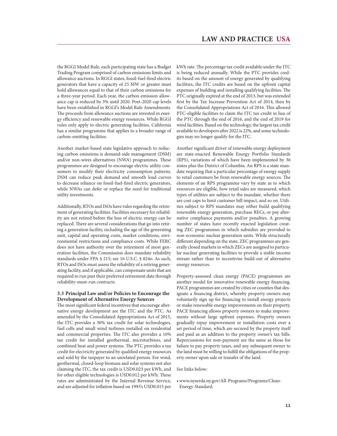the RGGI Model Rule, each participating state has a Budget Trading Program comprised of carbon emissions limits and allowance auctions. In RGGI states, fossil-fuel-fired electric generators that have a capacity of 25 MW or greater must hold allowances equal to that of their carbon emissions for a three-year period. Each year, the carbon emission allowance cap is reduced by 3% until 2020. Post-2020 cap levels have been established in RGGI's Model Rule Amendments. The proceeds from allowance auctions are invested in energy efficiency and renewable energy resources. While RGGI rules only apply to electric generating facilities, California has a similar programme that applies to a broader range of carbon-emitting facilities.

Another market-based state legislative approach to reducing carbon emissions is demand-side management (DSM) and/or non-wires alternatives (NWA) programmes. These programmes are designed to encourage electric utility consumers to modify their electricity consumption patterns. DSM can reduce peak demand and smooth load curves to decrease reliance on fossil-fuel-fired electric generators, while NWAs can defer or replace the need for traditional utility investments.

Additionally, RTOs and ISOs have rules regarding the retirement of generating facilities. Facilities necessary for reliability are not retired before the loss of electric energy can be replaced. There are several considerations that go into retiring a generation facility, including the age of the generating unit, capital and operating costs, market conditions, environmental restrictions and compliance costs. While FERC does not have authority over the retirement of most generation facilities, the Commission does mandate reliability standards under FPA § 215; see 16 U.S.C. § 824o. As such, RTOs and ISOs must assess the reliability of a retiring generating facility, and if applicable, can compensate units that are required to run past their preferred retirement date through reliability-must-run contracts.

#### **3.3 Principal Law and/or Policies to Encourage the Development of Alternative Energy Sources**

The most significant federal incentives that encourage alternative energy development are the ITC and the PTC. As amended by the Consolidated Appropriations Act of 2015, the ITC provides a 30% tax credit for solar technologies, fuel cells and small wind turbines installed on residential and commercial properties. The ITC also provides a 10% tax credit for installed geothermal, microturbines, and combined heat and power systems. The PTC provides a tax credit for electricity generated by qualified energy resources and sold by the taxpayer to an unrelated person. For wind, geothermal, closed-loop biomass and solar systems not also claiming the ITC, the tax credit is USD0.023 per kWh, and for other eligible technologies is USD0.012 per kWh. These rates are administrated by the Internal Revenue Service, and are adjusted for inflation based on 1993's USD0.015 per

kWh rate. The percentage tax credit available under the ITC is being reduced annually. While the PTC provides credits based on the amount of energy generated by qualifying facilities, the ITC credits are based on the upfront capital expenses of building and installing qualifying facilities. The PTC originally expired at the end of 2013, but was extended first by the Tax Increase Prevention Act of 2014, then by the Consolidated Appropriations Act of 2016. This allowed PTC-eligible facilities to claim the ITC tax credit in lieu of the PTC through the end of 2016, and the end of 2019 for wind facilities. Based on the technology, the largest tax credit available to developers after 2022 is 22%, and some technologies may no longer qualify for the ITC.

Another significant driver of renewable energy deployment are state-enacted Renewable Energy Portfolio Standards (RPS), variations of which have been implemented by 36 states plus the District of Columbia. An RPS is a state mandate requiring that a particular percentage of energy supply to retail customers be from renewable energy sources. The elements of an RPS programme vary by state as to which resources are eligible, how retail sales are measured, which types of utilities are subject to the mandate, whether there are cost caps to limit customer bill impact, and so on. Utilities subject to RPS mandates may either build qualifying renewable energy generation, purchase RECs, or pay alternative compliance payments and/or penalties. A growing number of states have recently enacted legislation creating ZEC programmes in which subsidies are provided to non-economic nuclear generation units. While structurally different depending on the state, ZEC programmes are generally closed markets in which ZECs are assigned to particular nuclear generating facilities to provide a stable income stream rather than to incentivise build-out of alternative energy resources.

Property-assessed clean energy (PACE) programmes are another model for innovative renewable energy financing. PACE programmes are created by cities or counties that designate a financing district, whereby property owners may voluntarily sign up for financing to install energy projects or make renewable energy improvements on their property. PACE financing allows property owners to make improvements without large upfront expenses. Property owners gradually repay improvement or installation costs over a set period of time, which are secured by the property itself and paid as an addition to the property owner's tax bills. Repercussions for non-payment are the same as those for failure to pay property taxes, and any subsequent owner to the land must be willing to fulfill the obligations of the property owner upon sale or transfer of the land.

See links below:

<sup>•</sup> www.nyserda.ny.gov/All-Programs/Programs/Clean-Energy-Standard.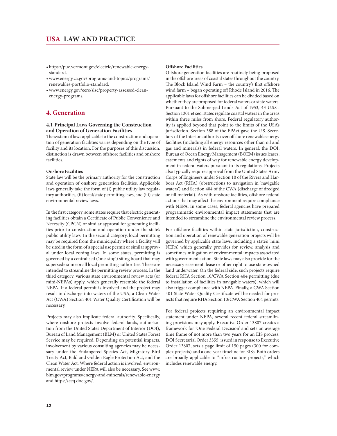- $\bullet$  https://puc.vermont.gov/electric/renewable-energystandard.
- www.energy.ca.gov/programs-and-topics/programs/ renewables-portfolio-standard.
- twww.energy.gov/eere/slsc/property-assessed-cleanenergy-programs.

# **4. Generation**

#### **4.1 Principal Laws Governing the Construction and Operation of Generation Facilities**

The system of laws applicable to the construction and operation of generation facilities varies depending on the type of facility and its location. For the purposes of this discussion, distinction is drawn between offshore facilities and onshore facilities.

#### **Onshore Facilities**

State law will be the primary authority for the construction and operation of onshore generation facilities. Applicable laws generally take the form of (i) public utility law regulatory authorities, (ii) local/state permitting laws, and (iii) state environmental review laws.

In the first category, some states require that electric generating facilities obtain a Certificate of Public Convenience and Necessity (CPCN) or similar approval for generating facilities prior to construction and operation under the state's public utility laws. In the second category, local permitting may be required from the municipality where a facility will be sited in the form of a special use permit or similar approval under local zoning laws. In some states, permitting is governed by a centralised ('one-stop') siting board that may supersede some or all local permitting authorities. These are intended to streamline the permitting review process. In the third category, various state environmental review acts (or mini-NEPAs) apply, which generally resemble the federal NEPA. If a federal permit is involved and the project may result in discharge into waters of the USA, a Clean Water Act (CWA) Section 401 Water Quality Certification will be necessary.

Projects may also implicate federal authority. Specifically, where onshore projects involve federal lands, authorisation from the United States Department of Interior (DOI), Bureau of Land Management (BLM) or United States Forest Service may be required. Depending on potential impacts, involvement by various consulting agencies may be necessary under the Endangered Species Act, Migratory Bird Treaty Act, Bald and Golden Eagle Protection Act, and the Clean Water Act. Where federal action is involved, environmental review under NEPA will also be necessary. See www. blm.gov/programs/energy-and-minerals/renewable-energy and https://ceq.doe.gov/.

#### **Offshore Facilities**

Offshore generation facilities are routinely being proposed in the offshore areas of coastal states throughout the country. The Block Island Wind Farm – the country's first offshore wind farm – began operating off Rhode Island in 2016. The applicable laws for offshore facilities can be divided based on whether they are proposed for federal waters or state waters. Pursuant to the Submerged Lands Act of 1953, 43 U.S.C. Section 1301 et seq, states regulate coastal waters in the areas within three miles from shore. Federal regulatory authority is applied beyond that point to the limits of the USA's jurisdiction. Section 388 of the EPAct gave the U.S. Secretary of the Interior authority over offshore renewable energy facilities (including all energy resources other than oil and gas and minerals) in federal waters. In general, the DOI, Bureau of Ocean Energy Management (BOEM) issues leases, easements and rights of way for renewable energy development in federal waters pursuant to its regulations. Projects also typically require approval from the United States Army Corps of Engineers under Section 10 of the Rivers and Harbors Act (RHA) (obstructions to navigation in 'navigable waters') and Section 404 of the CWA (discharge of dredged or fill material). As with onshore facilities, offshore federal actions that may affect the environment require compliance with NEPA. In some cases, federal agencies have prepared programmatic environmental impact statements that are intended to streamline the environmental review process.

For offshore facilities within state jurisdiction, construction and operation of renewable generation projects will be governed by applicable state laws, including a state's 'mini NEPA', which generally provides for review, analysis and sometimes mitigation of environmental impacts associated with government action. State laws may also provide for the necessary easement, lease or other right to use state-owned land underwater. On the federal side, such projects require federal RHA Section 10/CWA Section 404 permitting (due to installation of facilities in navigable waters), which will also trigger compliance with NEPA. Finally, a CWA Section 401 State Water Quality Certificate will be needed for projects that require RHA Section 10/CWA Section 404 permits.

For federal projects requiring an environmental impact statement under NEPA, several recent federal streamlining provisions may apply. Executive Order 13807 creates a framework for 'One Federal Decision' and sets an average time frame of not more than two years for an EIS process. DOI Secretarial Order 3355, issued in response to Executive Order 13807, sets a page limit of 150 pages (300 for complex projects) and a one-year timeline for EISs. Both orders are broadly applicable to "infrastructure projects," which includes renewable energy.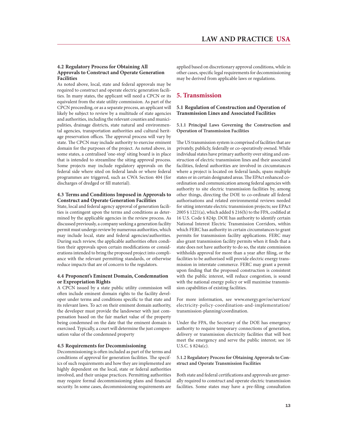#### **4.2 Regulatory Process for Obtaining All Approvals to Construct and Operate Generation Facilities**

As noted above, local, state and federal approvals may be required to construct and operate electric generation facilities. In many states, the applicant will need a CPCN or its equivalent from the state utility commission. As part of the CPCN proceeding, or as a separate process, an applicant will likely be subject to review by a multitude of state agencies and authorities, including the relevant counties and municipalities, drainage districts, state natural and environmental agencies, transportation authorities and cultural heritage preservation offices. The approval process will vary by state. The CPCN may include authority to exercise eminent domain for the purposes of the project. As noted above, in some states, a centralised 'one-stop' siting board is in place that is intended to streamline the siting approval process. Some projects may include regulatory approvals on the federal side where sited on federal lands or where federal programmes are triggered, such as CWA Section 404 (for discharges of dredged or fill material).

#### **4.3 Terms and Conditions Imposed in Approvals to Construct and Operate Generation Facilities**

State, local and federal agency approval of generation facilities is contingent upon the terms and conditions as determined by the applicable agencies in the review process. As discussed previously, a company seeking a generation facility permit must undergo review by numerous authorities, which may include local, state and federal agencies/authorities. During such review, the applicable authorities often condition their approvals upon certain modifications or considerations intended to bring the proposed project into compliance with the relevant permitting standards, or otherwise reduce impacts that are of concern to the regulators.

#### **4.4 Proponent's Eminent Domain, Condemnation or Expropriation Rights**

A CPCN issued by a state public utility commission will often include eminent domain rights to the facility developer under terms and conditions specific to that state and its relevant laws. To act on their eminent domain authority, the developer must provide the landowner with just compensation based on the fair market value of the property being condemned on the date that the eminent domain is exercised. Typically, a court will determine the just compensation value of the condemned property

#### **4.5 Requirements for Decommissioning**

Decommissioning is often included as part of the terms and conditions of approval for generation facilities. The specifics of such requirements and how they are implemented are highly dependent on the local, state or federal authorities involved, and their unique practices. Permitting authorities may require formal decommissioning plans and financial security. In some cases, decommissioning requirements are applied based on discretionary approval conditions, while in other cases, specific legal requirements for decommissioning may be derived from applicable laws or regulations.

### **5. Transmission**

#### **5.1 Regulation of Construction and Operation of Transmission Lines and Associated Facilities**

**5.1.1 Principal Laws Governing the Construction and Operation of Transmission Facilities**

The US transmission system is comprised of facilities that are privately, publicly, federally or co-operatively owned. While individual states have primary authority over siting and construction of electric transmission lines and their associated facilities, federal authorities are involved in circumstances where a project is located on federal lands, spans multiple states or in certain designated areas. The EPAct enhanced coordination and communication among federal agencies with authority to site electric transmission facilities by, among other things, directing the DOE to co-ordinate all federal authorisations and related environmental reviews needed for siting interstate electric transmission projects; see EPAct 2005 § 1221(a), which added § 216(h) to the FPA, codified at 16 U.S. Code § 824p. DOE has authority to identify certain National Interest Electric Transmission Corridors, within which FERC has authority in certain circumstances to grant permits for transmission facility applications. FERC may also grant transmission facility permits when it finds that a state does not have authority to do so, the state commission withholds approval for more than a year after filing, or the facilities to be authorised will provide electric energy transmission in interstate commerce. FERC may grant a permit upon finding that the proposed construction is consistent with the public interest, will reduce congestion, is sound with the national energy policy or will maximise transmission capabilities of existing facilities.

For more information, see www.energy.gov/oe/services/ electricity-policy-coordination-and-implementation/ transmission-planning/coordination.

Under the FPA, the Secretary of the DOE has emergency authority to require temporary connections of generation, delivery or transmission electricity facilities that will best meet the emergency and serve the public interest; see 16 U.S.C. § 824a(c).

#### **5.1.2 Regulatory Process for Obtaining Approvals to Construct and Operate Transmission Facilities**

Both state and federal certifications and approvals are generally required to construct and operate electric transmission facilities. Some states may have a pre-filing consultation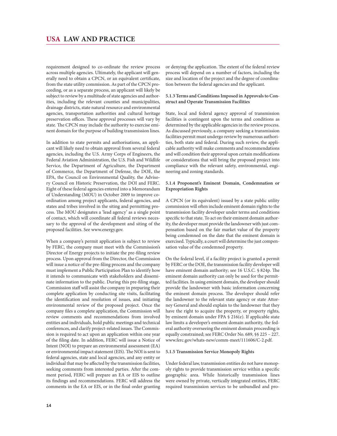requirement designed to co-ordinate the review process across multiple agencies. Ultimately, the applicant will generally need to obtain a CPCN, or an equivalent certificate, from the state utility commission. As part of the CPCN proceeding, or as a separate process, an applicant will likely be subject to review by a multitude of state agencies and authorities, including the relevant counties and municipalities, drainage districts, state natural resource and environmental agencies, transportation authorities and cultural heritage preservation offices. These approval processes will vary by state. The CPCN may include the authority to exercise eminent domain for the purpose of building transmission lines.

In addition to state permits and authorisations, an applicant will likely need to obtain approval from several federal agencies, including the U.S. Army Corps of Engineers, the Federal Aviation Administration, the U.S. Fish and Wildlife Service, the Department of Agriculture, the Department of Commerce, the Department of Defense, the DOE, the EPA, the Council on Environmental Quality, the Advisory Council on Historic Preservation, the DOI and FERC. Eight of these federal agencies entered into a Memorandum of Understanding (MOU) in October 2009 to improve coordination among project applicants, federal agencies, and states and tribes involved in the siting and permitting process. The MOU designates a 'lead agency' as a single point of contact, which will coordinate all federal reviews necessary to the approval of the development and siting of the proposed facilities. See www.energy.gov.

When a company's permit application is subject to review by FERC, the company must meet with the Commission's Director of Energy projects to initiate the pre-filing review process. Upon approval from the Director, the Commission will issue a notice of the pre-filing process and the company must implement a Public Participation Plan to identify how it intends to communicate with stakeholders and disseminate information to the public. During this pre-filing stage, Commission staff will assist the company in preparing their complete application by conducting site visits, facilitating the identification and resolution of issues, and initiating environmental review of the proposed project. Once the company files a complete application, the Commission will review comments and recommendations from involved entities and individuals, hold public meetings and technical conferences, and clarify project-related issues. The Commission is required to act upon an application within one year of the filing date. In addition, FERC will issue a Notice of Intent (NOI) to prepare an environmental assessment (EA) or environmental impact statement (EIS). The NOI is sent to federal agencies, state and local agencies, and any entity or individual that may be affected by the transmission facilities, seeking comments from interested parties. After the comment period, FERC will prepare an EA or EIS to outline its findings and recommendations. FERC will address the comments in the EA or EIS, or in the final order granting or denying the application. The extent of the federal review process will depend on a number of factors, including the size and location of the project and the degree of coordination between the federal agencies and the applicant.

#### **5.1.3 Terms and Conditions Imposed in Approvals to Construct and Operate Transmission Facilities**

State, local and federal agency approval of transmission facilities is contingent upon the terms and conditions as determined by the applicable agencies in the review process. As discussed previously, a company seeking a transmission facilities permit must undergo review by numerous authorities, both state and federal. During such review, the applicable authority will make comments and recommendations and will condition their approval upon certain modifications or considerations that will bring the proposed project into compliance with the relevant safety, environmental, engineering and zoning standards.

#### **5.1.4 Proponent's Eminent Domain, Condemnation or Expropriation Rights**

A CPCN (or its equivalent) issued by a state public utility commission will often include eminent domain rights to the transmission facility developer under terms and conditions specific to that state. To act on their eminent domain authority, the developer must provide the landowner with just compensation based on the fair market value of the property being condemned on the date that the eminent domain is exercised. Typically, a court will determine the just compensation value of the condemned property.

On the federal level, if a facility project is granted a permit by FERC or the DOE, the transmission facility developer will have eminent domain authority; see 16 U.S.C. § 824p. The eminent domain authority can only be used for the permitted facilities. In using eminent domain, the developer should provide the landowner with basic information concerning the eminent domain process. The developer should refer the landowner to the relevant state agency or state Attorney General and should explain to the landowner that they have the right to acquire the property, or property rights, by eminent domain under FPA § 216(e). If applicable state law limits a developer's eminent domain authority, the federal authority overseeing the eminent domain proceeding is equally constrained; see FERC Order No. 689, §§ 225 – 227. www.ferc.gov/whats-new/comm-meet/111606/C-2.pdf.

#### **5.1.5 Transmission Service Monopoly Rights**

Under federal law, transmission entities do not have monopoly rights to provide transmission service within a specific geographic area. While historically transmission lines were owned by private, vertically integrated entities, FERC required transmission services to be unbundled and pro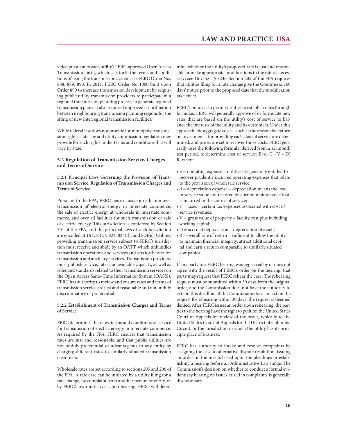vided pursuant to each utility's FERC-approved Open Access Transmission Tariff, which sets forth the terms and conditions of using the transmission system; see FERC Order Nos 888, 889, 890. In 2011, FERC Order No 1000 built upon Order 890 to increase transmission development by requiring public utility transmission providers to participate in a regional transmission planning process to generate regional transmission plans. It also required improved co-ordination between neighbouring transmission planning regions for the siting of new interregional transmission facilities.

While federal law does not provide for monopoly transmission rights, state law and utility commission regulation may provide for such rights under terms and conditions that will vary by state.

#### **5.2 Regulation of Transmission Service, Charges and Terms of Service**

**5.2.1 Principal Laws Governing the Provision of Transmission Service, Regulation of Transmission Charges and Terms of Service**

Pursuant to the FPA, FERC has exclusive jurisdiction over transmission of electric energy in interstate commerce, the sale of electric energy at wholesale in interstate commerce, and over all facilities for such transmission or sale of electric energy. This jurisdiction is conferred by Section 201 of the FPA, and the principal laws of such jurisdiction are encoded at 16 U.S.C. § 824, 824(d), and 824(e). Utilities providing transmission service subject to FERC's jurisdiction must receive and abide by an OATT, which unbundles transmission operations and services and sets forth rates for transmission and ancillary services. Transmission providers must publish service, rates and available capacity, as well as rules and standards related to their transmission services on the Open Access Same-Time Information System (OASIS). FERC has authority to review and ensure rates and terms of transmission service are just and reasonable and not unduly discriminatory of preferential.

#### **5.2.2 Establishment of Transmission Charges and Terms of Service**

FERC determines the rates, terms and conditions of service for transmission of electric energy in interstate commerce. As required by the FPA, FERC ensures that transmission rates are just and reasonable, and that public utilities are not unduly preferential or advantageous to any entity by charging different rates to similarly situated transmission customers.

Wholesale rates are set according to sections 205 and 206 of the FPA. A rate case can be initiated by a utility filing for a rate change, by complaint from another person or entity, or by FERC's own initiative. Upon hearing, FERC will determine whether the utility's proposed rate is just and reasonable or make appropriate modifications to the rate as necessary; see 16 U.S.C. § 824e. Section 205 of the FPA requires that utilities filing for a rate change give the Commission 60 days' notice prior to the proposed date that the modification take effect.

FERC's policy is to permit utilities to establish rates through formulas. FERC will generally approve of or formulate new rates that are based on the utility's cost of service to balance the interests of the utility and its customers. Under this approach, the aggregate costs – such as the reasonable return on investment – for providing each class of service are determined, and prices are set to recover those costs. FERC generally uses the following formula, derived from a 12-month test period, to determine cost of service: E+d+T+(V - D) R, where:

- $\cdot$  E = operating expense utilities are generally entitled to recover prudently incurred operating expenses that relate to the provision of wholesale service;
- $\bullet$  d = depreciation expense depreciation means the loss in service value not restored by current maintenance that is incurred in the course of service;
- $\cdot$  T = taxes certain tax expenses associated with cost of service revenues;
- $\cdot$  V = gross value of property facility cost plus including working capital;
- $\bullet$  D = accrued depreciation depreciation of assets;
- $\cdot$  R = overall rate of return sufficient to allow the utility to maintain financial integrity, attract additional capital and earn a return comparable to similarly situated companies.

If any party to a FERC hearing was aggrieved by or does not agree with the result of FERC's order on the hearing, that party may request that FERC rehear the case. The rehearing request must be submitted within 30 days from the original order, and the Commission does not have the authority to extend this deadline. If the Commission does not act on the request for rehearing within 30 days, the request is deemed denied. After FERC issues an order upon rehearing, the parties to the hearing have the right to petition the United States Court of Appeals for review of the order, typically to the United States Court of Appeals for the District of Columbia Circuit, or the jurisdiction in which the utility has its principle place of business.

FERC has authority to intake and resolve complaints by assigning the case to alternative dispute resolution, issuing an order on the merits based upon the pleadings or establishing a hearing before an Administrative Law Judge. The Commission's decision on whether to conduct a formal evidentiary hearing on issues raised in complaints is generally discretionary.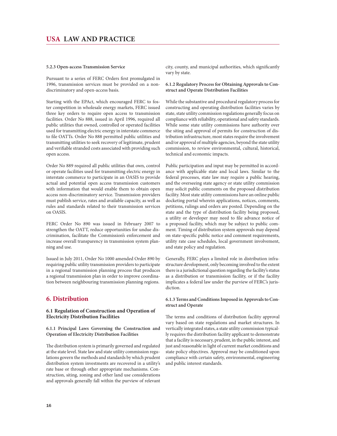#### **5.2.3 Open-access Transmission Service**

Pursuant to a series of FERC Orders first promulgated in 1996, transmission services must be provided on a nondiscriminatory and open-access basis.

Starting with the EPAct, which encouraged FERC to foster competition in wholesale energy markets, FERC issued three key orders to require open access to transmission facilities. Order No 888, issued in April 1996, required all public utilities that owned, controlled or operated facilities used for transmitting electric energy in interstate commerce to file OATTs. Order No 888 permitted public utilities and transmitting utilities to seek recovery of legitimate, prudent and verifiable stranded costs associated with providing such open access.

Order No 889 required all public utilities that own, control or operate facilities used for transmitting electric energy in interstate commerce to participate in an OASIS to provide actual and potential open access transmission customers with information that would enable them to obtain open access non-discriminatory service. Transmission providers must publish service, rates and available capacity, as well as rules and standards related to their transmission services on OASIS.

FERC Order No 890 was issued in February 2007 to strengthen the OATT, reduce opportunities for undue discrimination, facilitate the Commission's enforcement and increase overall transparency in transmission system planning and use.

Issued in July 2011, Order No 1000 amended Order 890 by requiring public utility transmission providers to participate in a regional transmission planning process that produces a regional transmission plan in order to improve coordination between neighbouring transmission planning regions.

### **6. Distribution**

#### **6.1 Regulation of Construction and Operation of Electricity Distribution Facilities**

**6.1.1 Principal Laws Governing the Construction and Operation of Electricity Distribution Facilities**

The distribution system is primarily governed and regulated at the state level. State law and state utility commission regulations govern the methods and standards by which prudent distribution system investments are recovered in a utility's rate base or through other appropriate mechanisms. Construction, siting, zoning and other land use considerations and approvals generally fall within the purview of relevant city, county, and municipal authorities, which significantly vary by state.

**6.1.2 Regulatory Process for Obtaining Approvals to Construct and Operate Distribution Facilities**

While the substantive and procedural regulatory process for constructing and operating distribution facilities varies by state, state utility commission regulations generally focus on compliance with reliability, operational and safety standards. While some state utility commissions have authority over the siting and approval of permits for construction of distribution infrastructure, most states require the involvement and/or approval of multiple agencies, beyond the state utility commission, to review environmental, cultural, historical, technical and economic impacts.

Public participation and input may be permitted in accordance with applicable state and local laws. Similar to the federal processes, state law may require a public hearing, and the overseeing state agency or state utility commission may solicit public comments on the proposed distribution facility. Most state utility commissions have an online public docketing portal wherein applications, notices, comments, petitions, rulings and orders are posted. Depending on the state and the type of distribution facility being proposed, a utility or developer may need to file advance notice of a proposed facility, which may be subject to public comment. Timing of distribution system approvals may depend on state-specific public notice and comment requirements, utility rate case schedules, local government involvement, and state policy and regulation.

Generally, FERC plays a limited role in distribution infrastructure development, only becoming involved to the extent there is a jurisdictional question regarding the facility's status as a distribution or transmission facility, or if the facility implicates a federal law under the purview of FERC's jurisdiction.

#### **6.1.3 Terms and Conditions Imposed in Approvals to Construct and Operate**

The terms and conditions of distribution facility approval vary based on state regulations and market structures. In vertically integrated states, a state utility commission typically requires the distribution facility applicant to demonstrate that a facility is necessary, prudent, in the public interest, and just and reasonable in light of current market conditions and state policy objectives. Approval may be conditioned upon compliance with certain safety, environmental, engineering and public interest standards.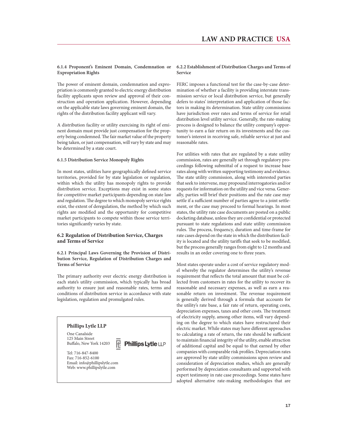#### **6.1.4 Proponent's Eminent Domain, Condemnation or Expropriation Rights**

The power of eminent domain, condemnation and expropriation is commonly granted to electric energy distribution facility applicants upon review and approval of their construction and operation application. However, depending on the applicable state laws governing eminent domain, the rights of the distribution facility applicant will vary.

A distribution facility or utility exercising its right of eminent domain must provide just compensation for the property being condemned. The fair market value of the property being taken, or just compensation, will vary by state and may be determined by a state court.

#### **6.1.5 Distribution Service Monopoly Rights**

In most states, utilities have geographically defined service territories, provided for by state legislation or regulation, within which the utility has monopoly rights to provide distribution service. Exceptions may exist in some states for competitive market participants depending on state law and regulation. The degree to which monopoly service rights exist, the extent of deregulation, the method by which such rights are modified and the opportunity for competitive market participants to compete within those service territories significantly varies by state.

#### **6.2 Regulation of Distribution Service, Charges and Terms of Service**

#### **6.2.1 Principal Laws Governing the Provision of Distribution Service, Regulation of Distribution Charges and Terms of Service**

The primary authority over electric energy distribution is each state's utility commission, which typically has broad authority to ensure just and reasonable rates, terms and conditions of distribution service in accordance with state legislation, regulation and promulgated rules.

R

**Phillips Lytle LLP** 

### **Phillips Lytle LLP**

One Canalside 125 Main Street Buffalo, New York 14203

Tel: 716-847-8400 Fax: 716-852-6100 Email: info@phillipslytle.com Web: www.phillipslytle.com

#### **6.2.2 Establishment of Distribution Charges and Terms of Service**

FERC imposes a functional test for the case-by-case determination of whether a facility is providing interstate transmission service or local distribution service, but generally defers to states' interpretation and application of those factors in making its determination. State utility commissions have jurisdiction over rates and terms of service for retail distribution level utility service. Generally, the rate-making process is designed to balance the utility company's opportunity to earn a fair return on its investments and the customer's interest in receiving safe, reliable service at just and reasonable rates.

For utilities with rates that are regulated by a state utility commission, rates are generally set through regulatory proceedings following submittal of a request to increase base rates along with written supporting testimony and evidence. The state utility commission, along with interested parties that seek to intervene, may propound interrogatories and/or requests for information on the utility and vice versa. Generally, parties will brief their positions and the rate case may settle if a sufficient number of parties agree to a joint settlement, or the case may proceed to formal hearings. In most states, the utility rate case documents are posted on a public docketing database, unless they are confidential or protected pursuant to state regulations and state utility commission rules. The process, frequency, duration and time-frame for rate cases depend on the state in which the distribution facility is located and the utility tariffs that seek to be modified, but the process generally ranges from eight to 12 months and results in an order covering one to three years.

Most states operate under a cost of service regulatory model whereby the regulator determines the utility's revenue requirement that reflects the total amount that must be collected from customers in rates for the utility to recover its reasonable and necessary expenses, as well as earn a reasonable return on investment. The revenue requirement is generally derived through a formula that accounts for the utility's rate base, a fair rate of return, operating costs, depreciation expenses, taxes and other costs. The treatment of electricity supply, among other items, will vary depending on the degree to which states have restructured their electric market. While states may have different approaches to calculating a rate of return, the rate should be sufficient to maintain financial integrity of the utility, enable attraction of additional capital and be equal to that earned by other companies with comparable risk profiles. Depreciation rates are approved by state utility commissions upon review and consideration of depreciation studies, which are generally performed by depreciation consultants and supported with expert testimony in rate case proceedings. Some states have adopted alternative rate-making methodologies that are